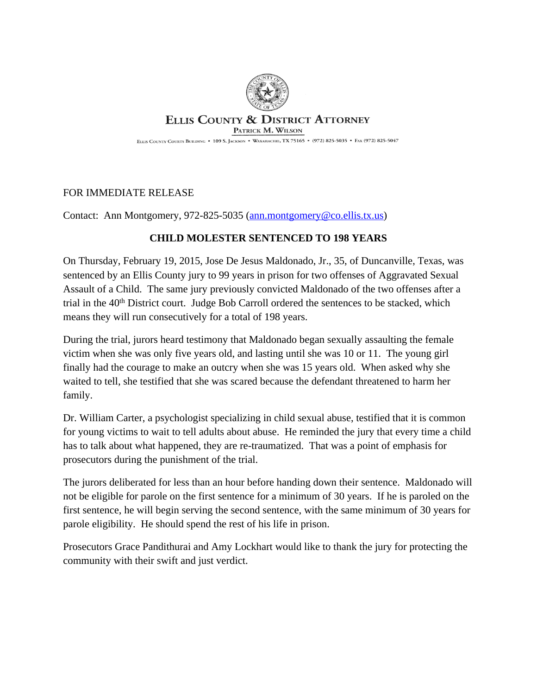

## **ELLIS COUNTY & DISTRICT ATTORNEY** PATRICK M. WILSON

ELLIS COUNTY COURTS BUILDING . 109 S. JACKSON . WAXAHACHIE, TX 75165 . (972) 825-5035 . FAX (972) 825-5047

## FOR IMMEDIATE RELEASE

Contact: Ann Montgomery, 972-825-5035 ([ann.montgomery@co.ellis.tx.us\)](mailto:ann.montgomery@co.ellis.tx.us)

## **CHILD MOLESTER SENTENCED TO 198 YEARS**

On Thursday, February 19, 2015, Jose De Jesus Maldonado, Jr., 35, of Duncanville, Texas, was sentenced by an Ellis County jury to 99 years in prison for two offenses of Aggravated Sexual Assault of a Child. The same jury previously convicted Maldonado of the two offenses after a trial in the 40<sup>th</sup> District court. Judge Bob Carroll ordered the sentences to be stacked, which means they will run consecutively for a total of 198 years.

During the trial, jurors heard testimony that Maldonado began sexually assaulting the female victim when she was only five years old, and lasting until she was 10 or 11. The young girl finally had the courage to make an outcry when she was 15 years old. When asked why she waited to tell, she testified that she was scared because the defendant threatened to harm her family.

Dr. William Carter, a psychologist specializing in child sexual abuse, testified that it is common for young victims to wait to tell adults about abuse. He reminded the jury that every time a child has to talk about what happened, they are re-traumatized. That was a point of emphasis for prosecutors during the punishment of the trial.

The jurors deliberated for less than an hour before handing down their sentence. Maldonado will not be eligible for parole on the first sentence for a minimum of 30 years. If he is paroled on the first sentence, he will begin serving the second sentence, with the same minimum of 30 years for parole eligibility. He should spend the rest of his life in prison.

Prosecutors Grace Pandithurai and Amy Lockhart would like to thank the jury for protecting the community with their swift and just verdict.